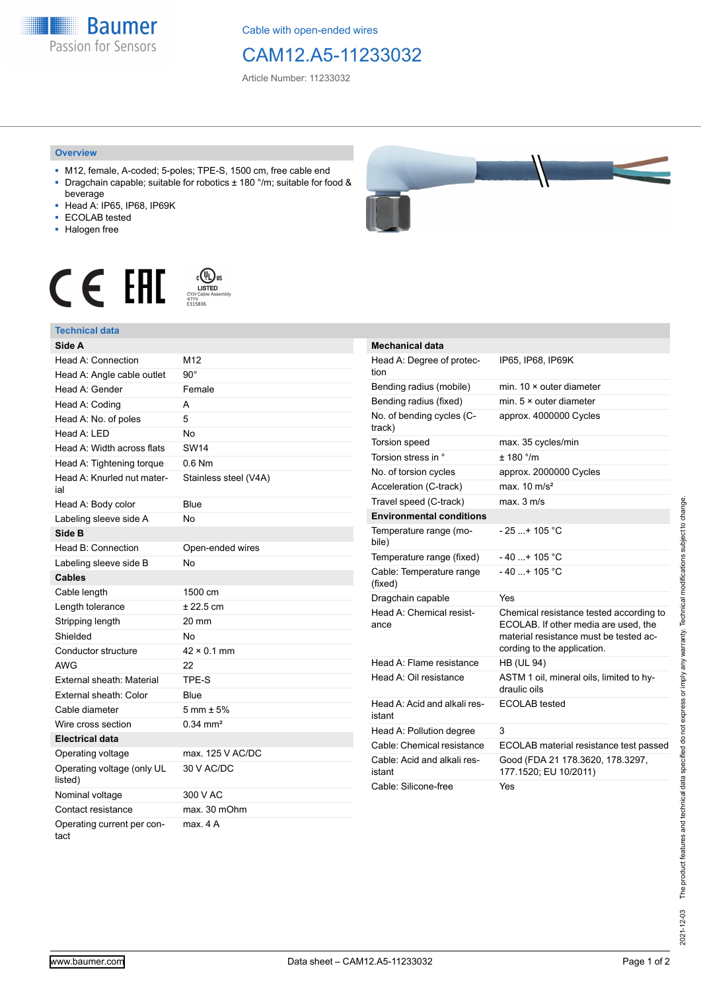**Baumer** Passion for Sensors

Cable with open-ended wires

## CAM12.A5-11233032

Article Number: 11233032

## **Overview**

- M12, female, A-coded; 5-poles; TPE-S, 1500 cm, free cable end ■ Dragchain capable; suitable for robotics ± 180 °/m; suitable for food &
- beverage ■ Head A: IP65, IP68, IP69K
- ECOLAB tested
- 
- Halogen free



## **Technical data**





| <b>Mechanical data</b>                 |                                                                                                                                                          |
|----------------------------------------|----------------------------------------------------------------------------------------------------------------------------------------------------------|
| Head A: Degree of protec-<br>tion      | IP65, IP68, IP69K                                                                                                                                        |
| Bending radius (mobile)                | min. $10 \times$ outer diameter                                                                                                                          |
| Bending radius (fixed)                 | min. 5 × outer diameter                                                                                                                                  |
| No. of bending cycles (C-<br>track)    | approx. 4000000 Cycles                                                                                                                                   |
| Torsion speed                          | max. 35 cycles/min                                                                                                                                       |
| Torsion stress in °                    | ± 180 °/m                                                                                                                                                |
| No. of torsion cycles                  | approx. 2000000 Cycles                                                                                                                                   |
| Acceleration (C-track)                 | max. $10 \text{ m/s}^2$                                                                                                                                  |
| Travel speed (C-track)                 | max. 3 m/s                                                                                                                                               |
| <b>Environmental conditions</b>        |                                                                                                                                                          |
| Temperature range (mo-<br>bile)        | - 25 + 105 °C                                                                                                                                            |
| Temperature range (fixed)              | $-40+105 °C$                                                                                                                                             |
| Cable: Temperature range<br>(fixed)    | $-40$ + 105 °C                                                                                                                                           |
| Dragchain capable                      | Yes                                                                                                                                                      |
| Head A: Chemical resist-<br>ance       | Chemical resistance tested according to<br>ECOLAB. If other media are used, the<br>material resistance must be tested ac-<br>cording to the application. |
| Head A: Flame resistance               | <b>HB (UL 94)</b>                                                                                                                                        |
| Head A: Oil resistance                 | ASTM 1 oil, mineral oils, limited to hy-<br>draulic oils                                                                                                 |
| Head A: Acid and alkali res-<br>istant | ECOLAB tested                                                                                                                                            |
| Head A: Pollution degree               | 3                                                                                                                                                        |
| Cable: Chemical resistance             | ECOLAB material resistance test passed                                                                                                                   |
| Cable: Acid and alkali res-<br>istant  | Good (FDA 21 178.3620, 178.3297,<br>177.1520; EU 10/2011)                                                                                                |
| Cable: Silicone-free                   | Yes                                                                                                                                                      |